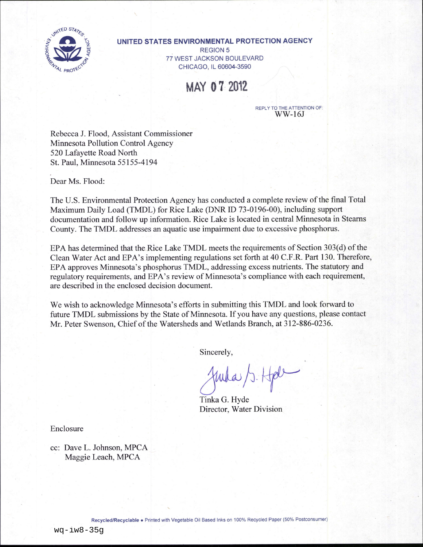

#### UNITED STATES ENVIRONMENTAL PROTECTION AGENCY

**REGION 5** 77 WEST JACKSON BOULEVARD CHICAGO, IL 60604-3590

MAY 07 2012

**REPLY TO THE ATTENTION OF:**  $WW-16J$ 

Rebecca J. Flood, Assistant Commissioner Minnesota Pollution Control Agency 520 Lafayette Road North St. Paul, Minnesota 55155-4194

Dear Ms. Flood:

The U.S. Environmental Protection Agency has conducted a complete review of the final Total Maximum Daily Load (TMDL) for Rice Lake (DNR ID 73-0196-00), including support documentation and follow up information. Rice Lake is located in central Minnesota in Stearns County. The TMDL addresses an aquatic use impairment due to excessive phosphorus.

EPA has determined that the Rice Lake TMDL meets the requirements of Section 303(d) of the Clean Water Act and EPA's implementing regulations set forth at 40 C.F.R. Part 130. Therefore, EPA approves Minnesota's phosphorus TMDL, addressing excess nutrients. The statutory and regulatory requirements, and EPA's review of Minnesota's compliance with each requirement, are described in the enclosed decision document.

We wish to acknowledge Minnesota's efforts in submitting this TMDL and look forward to future TMDL submissions by the State of Minnesota. If you have any questions, please contact Mr. Peter Swenson, Chief of the Watersheds and Wetlands Branch, at 312-886-0236.

Sincerely,

Tinka G. Hyde Director, Water Division

Enclosure

cc: Dave L. Johnson, MPCA Maggie Leach, MPCA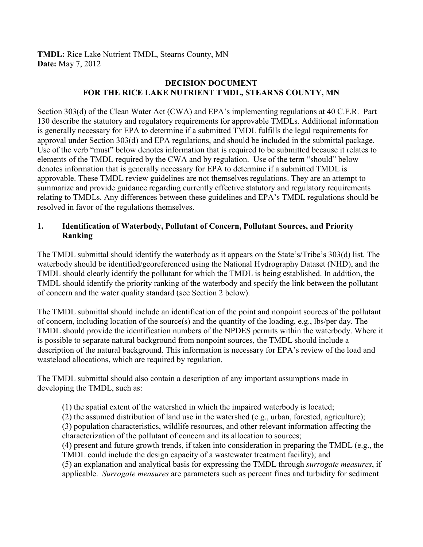**TMDL:** Rice Lake Nutrient TMDL, Stearns County, MN **Date:** May 7, 2012

## **DECISION DOCUMENT FOR THE RICE LAKE NUTRIENT TMDL, STEARNS COUNTY, MN**

Section 303(d) of the Clean Water Act (CWA) and EPA's implementing regulations at 40 C.F.R. Part 130 describe the statutory and regulatory requirements for approvable TMDLs. Additional information is generally necessary for EPA to determine if a submitted TMDL fulfills the legal requirements for approval under Section 303(d) and EPA regulations, and should be included in the submittal package. Use of the verb "must" below denotes information that is required to be submitted because it relates to elements of the TMDL required by the CWA and by regulation. Use of the term "should" below denotes information that is generally necessary for EPA to determine if a submitted TMDL is approvable. These TMDL review guidelines are not themselves regulations. They are an attempt to summarize and provide guidance regarding currently effective statutory and regulatory requirements relating to TMDLs. Any differences between these guidelines and EPA's TMDL regulations should be resolved in favor of the regulations themselves.

## **1. Identification of Waterbody, Pollutant of Concern, Pollutant Sources, and Priority Ranking**

The TMDL submittal should identify the waterbody as it appears on the State's/Tribe's 303(d) list. The waterbody should be identified/georeferenced using the National Hydrography Dataset (NHD), and the TMDL should clearly identify the pollutant for which the TMDL is being established. In addition, the TMDL should identify the priority ranking of the waterbody and specify the link between the pollutant of concern and the water quality standard (see Section 2 below).

The TMDL submittal should include an identification of the point and nonpoint sources of the pollutant of concern, including location of the source(s) and the quantity of the loading, e.g., lbs/per day. The TMDL should provide the identification numbers of the NPDES permits within the waterbody. Where it is possible to separate natural background from nonpoint sources, the TMDL should include a description of the natural background. This information is necessary for EPA's review of the load and wasteload allocations, which are required by regulation.

The TMDL submittal should also contain a description of any important assumptions made in developing the TMDL, such as:

- (1) the spatial extent of the watershed in which the impaired waterbody is located;
- (2) the assumed distribution of land use in the watershed (e.g., urban, forested, agriculture);
- (3) population characteristics, wildlife resources, and other relevant information affecting the characterization of the pollutant of concern and its allocation to sources;

(4) present and future growth trends, if taken into consideration in preparing the TMDL (e.g., the TMDL could include the design capacity of a wastewater treatment facility); and

(5) an explanation and analytical basis for expressing the TMDL through *surrogate measures*, if applicable. *Surrogate measures* are parameters such as percent fines and turbidity for sediment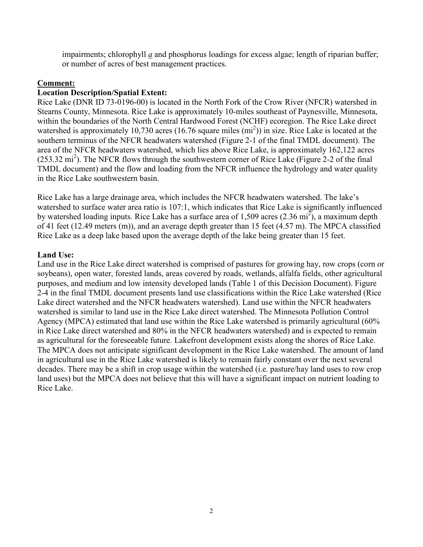impairments; chlorophyll *a* and phosphorus loadings for excess algae; length of riparian buffer; or number of acres of best management practices.

### **Comment:**

### **Location Description/Spatial Extent:**

Rice Lake (DNR ID 73-0196-00) is located in the North Fork of the Crow River (NFCR) watershed in Stearns County, Minnesota. Rice Lake is approximately 10-miles southeast of Paynesville, Minnesota, within the boundaries of the North Central Hardwood Forest (NCHF) ecoregion. The Rice Lake direct watershed is approximately 10,730 acres (16.76 square miles  $(m<sup>2</sup>)$ ) in size. Rice Lake is located at the southern terminus of the NFCR headwaters watershed (Figure 2-1 of the final TMDL document). The area of the NFCR headwaters watershed, which lies above Rice Lake, is approximately 162,122 acres  $(253.32 \text{ mi}^2)$ . The NFCR flows through the southwestern corner of Rice Lake (Figure 2-2 of the final TMDL document) and the flow and loading from the NFCR influence the hydrology and water quality in the Rice Lake southwestern basin.

Rice Lake has a large drainage area, which includes the NFCR headwaters watershed. The lake's watershed to surface water area ratio is 107:1, which indicates that Rice Lake is significantly influenced by watershed loading inputs. Rice Lake has a surface area of 1,509 acres  $(2.36 \text{ mi}^2)$ , a maximum depth of 41 feet (12.49 meters (m)), and an average depth greater than 15 feet (4.57 m). The MPCA classified Rice Lake as a deep lake based upon the average depth of the lake being greater than 15 feet.

## **Land Use:**

Land use in the Rice Lake direct watershed is comprised of pastures for growing hay, row crops (corn or soybeans), open water, forested lands, areas covered by roads, wetlands, alfalfa fields, other agricultural purposes, and medium and low intensity developed lands (Table 1 of this Decision Document). Figure 2-4 in the final TMDL document presents land use classifications within the Rice Lake watershed (Rice Lake direct watershed and the NFCR headwaters watershed). Land use within the NFCR headwaters watershed is similar to land use in the Rice Lake direct watershed. The Minnesota Pollution Control Agency (MPCA) estimated that land use within the Rice Lake watershed is primarily agricultural (60% in Rice Lake direct watershed and 80% in the NFCR headwaters watershed) and is expected to remain as agricultural for the foreseeable future. Lakefront development exists along the shores of Rice Lake. The MPCA does not anticipate significant development in the Rice Lake watershed. The amount of land in agricultural use in the Rice Lake watershed is likely to remain fairly constant over the next several decades. There may be a shift in crop usage within the watershed (i.e. pasture/hay land uses to row crop land uses) but the MPCA does not believe that this will have a significant impact on nutrient loading to Rice Lake.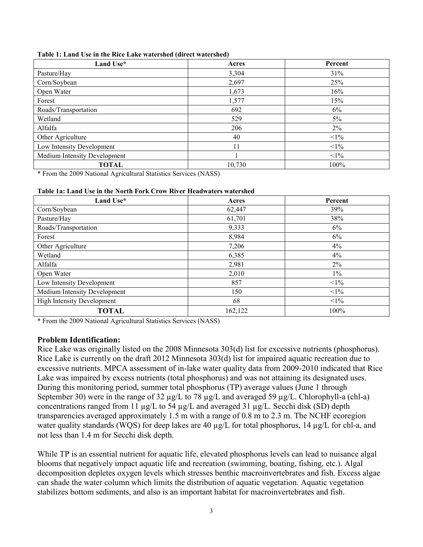| Land Use*                    | Acres  | Percent |
|------------------------------|--------|---------|
| Pasture/Hay                  | 3,304  | 31%     |
| Corn/Soybean                 | 2,697  | 25%     |
| Open Water                   | 1,673  | 16%     |
| Forest                       | 1,577  | 15%     |
| Roads/Transportation         | 692    | 6%      |
| Wetland                      | 529    | 5%      |
| Alfalfa                      | 206    | 2%      |
| Other Agriculture            | 40     | $<1\%$  |
| Low Intensity Development    | 11     | $<1\%$  |
| Medium Intensity Development |        | $<1\%$  |
| <b>TOTAL</b>                 | 10,730 | 100%    |

#### **Table 1: Land Use in the Rice Lake watershed (direct watershed)**

\* From the 2009 National Agricultural Statistics Services (NASS)

#### **Table 1a: Land Use in the North Fork Crow River Headwaters watershed**

| Land Use*                         | Acres   | Percent |
|-----------------------------------|---------|---------|
| Corn/Soybean                      | 62,447  | 39%     |
| Pasture/Hay                       | 61,701  | 38%     |
| Roads/Transportation              | 9,333   | 6%      |
| Forest                            | 8,984   | 6%      |
| Other Agriculture                 | 7,206   | 4%      |
| Wetland                           | 6,385   | 4%      |
| Alfalfa                           | 2,981   | $2\%$   |
| Open Water                        | 2,010   | $1\%$   |
| Low Intensity Development         | 857     | $<1\%$  |
| Medium Intensity Development      | 150     | $<1\%$  |
| <b>High Intensity Development</b> | 68      | $<1\%$  |
| <b>TOTAL</b>                      | 162,122 | 100%    |

\* From the 2009 National Agricultural Statistics Services (NASS)

#### **Problem Identification:**

Rice Lake was originally listed on the 2008 Minnesota 303(d) list for excessive nutrients (phosphorus). Rice Lake is currently on the draft 2012 Minnesota 303(d) list for impaired aquatic recreation due to excessive nutrients. MPCA assessment of in-lake water quality data from 2009-2010 indicated that Rice Lake was impaired by excess nutrients (total phosphorus) and was not attaining its designated uses. During this monitoring period, summer total phosphorus (TP) average values (June 1 through September 30) were in the range of 32 µg/L to 78 µg/L and averaged 59 µg/L. Chlorophyll-a (chl-a) concentrations ranged from 11 µg/L to 54 µg/L and averaged 31 µg/L. Secchi disk (SD) depth transparencies averaged approximately 1.5 m with a range of 0.8 m to 2.3 m. The NCHF ecoregion water quality standards (WQS) for deep lakes are 40  $\mu$ g/L for total phosphorus, 14  $\mu$ g/L for chl-a, and not less than 1.4 m for Secchi disk depth.

While TP is an essential nutrient for aquatic life, elevated phosphorus levels can lead to nuisance algal blooms that negatively impact aquatic life and recreation (swimming, boating, fishing, etc.). Algal decomposition depletes oxygen levels which stresses benthic macroinvertebrates and fish. Excess algae can shade the water column which limits the distribution of aquatic vegetation. Aquatic vegetation stabilizes bottom sediments, and also is an important habitat for macroinvertebrates and fish.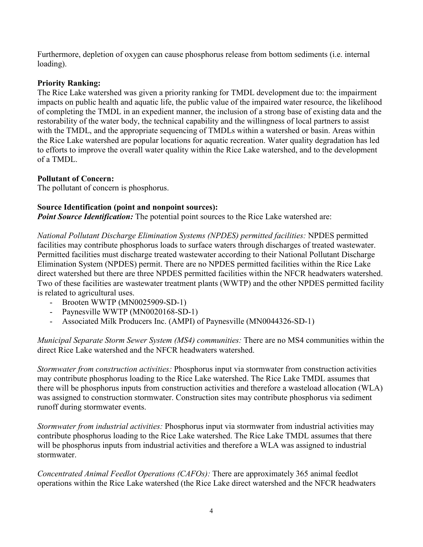Furthermore, depletion of oxygen can cause phosphorus release from bottom sediments (i.e. internal loading).

## **Priority Ranking:**

The Rice Lake watershed was given a priority ranking for TMDL development due to: the impairment impacts on public health and aquatic life, the public value of the impaired water resource, the likelihood of completing the TMDL in an expedient manner, the inclusion of a strong base of existing data and the restorability of the water body, the technical capability and the willingness of local partners to assist with the TMDL, and the appropriate sequencing of TMDLs within a watershed or basin. Areas within the Rice Lake watershed are popular locations for aquatic recreation. Water quality degradation has led to efforts to improve the overall water quality within the Rice Lake watershed, and to the development of a TMDL.

## **Pollutant of Concern:**

The pollutant of concern is phosphorus.

## **Source Identification (point and nonpoint sources):**

**Point Source Identification:** The potential point sources to the Rice Lake watershed are:

*National Pollutant Discharge Elimination Systems (NPDES) permitted facilities:* NPDES permitted facilities may contribute phosphorus loads to surface waters through discharges of treated wastewater. Permitted facilities must discharge treated wastewater according to their National Pollutant Discharge Elimination System (NPDES) permit. There are no NPDES permitted facilities within the Rice Lake direct watershed but there are three NPDES permitted facilities within the NFCR headwaters watershed. Two of these facilities are wastewater treatment plants (WWTP) and the other NPDES permitted facility is related to agricultural uses.

- Brooten WWTP (MN0025909-SD-1)
- Paynesville WWTP (MN0020168-SD-1)
- Associated Milk Producers Inc. (AMPI) of Paynesville (MN0044326-SD-1)

*Municipal Separate Storm Sewer System (MS4) communities:* There are no MS4 communities within the direct Rice Lake watershed and the NFCR headwaters watershed.

*Stormwater from construction activities:* Phosphorus input via stormwater from construction activities may contribute phosphorus loading to the Rice Lake watershed. The Rice Lake TMDL assumes that there will be phosphorus inputs from construction activities and therefore a wasteload allocation (WLA) was assigned to construction stormwater. Construction sites may contribute phosphorus via sediment runoff during stormwater events.

*Stormwater from industrial activities:* Phosphorus input via stormwater from industrial activities may contribute phosphorus loading to the Rice Lake watershed. The Rice Lake TMDL assumes that there will be phosphorus inputs from industrial activities and therefore a WLA was assigned to industrial stormwater.

*Concentrated Animal Feedlot Operations (CAFOs):* There are approximately 365 animal feedlot operations within the Rice Lake watershed (the Rice Lake direct watershed and the NFCR headwaters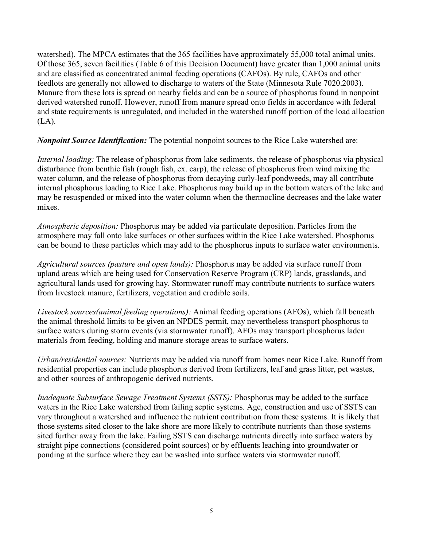watershed). The MPCA estimates that the 365 facilities have approximately 55,000 total animal units. Of those 365, seven facilities (Table 6 of this Decision Document) have greater than 1,000 animal units and are classified as concentrated animal feeding operations (CAFOs). By rule, CAFOs and other feedlots are generally not allowed to discharge to waters of the State (Minnesota Rule 7020.2003). Manure from these lots is spread on nearby fields and can be a source of phosphorus found in nonpoint derived watershed runoff. However, runoff from manure spread onto fields in accordance with federal and state requirements is unregulated, and included in the watershed runoff portion of the load allocation (LA).

*Nonpoint Source Identification:* The potential nonpoint sources to the Rice Lake watershed are:

*Internal loading:* The release of phosphorus from lake sediments, the release of phosphorus via physical disturbance from benthic fish (rough fish, ex. carp), the release of phosphorus from wind mixing the water column, and the release of phosphorus from decaying curly-leaf pondweeds, may all contribute internal phosphorus loading to Rice Lake. Phosphorus may build up in the bottom waters of the lake and may be resuspended or mixed into the water column when the thermocline decreases and the lake water mixes.

*Atmospheric deposition:* Phosphorus may be added via particulate deposition. Particles from the atmosphere may fall onto lake surfaces or other surfaces within the Rice Lake watershed. Phosphorus can be bound to these particles which may add to the phosphorus inputs to surface water environments.

*Agricultural sources (pasture and open lands):* Phosphorus may be added via surface runoff from upland areas which are being used for Conservation Reserve Program (CRP) lands, grasslands, and agricultural lands used for growing hay. Stormwater runoff may contribute nutrients to surface waters from livestock manure, fertilizers, vegetation and erodible soils.

*Livestock sources(animal feeding operations):* Animal feeding operations (AFOs), which fall beneath the animal threshold limits to be given an NPDES permit, may nevertheless transport phosphorus to surface waters during storm events (via stormwater runoff). AFOs may transport phosphorus laden materials from feeding, holding and manure storage areas to surface waters.

*Urban/residential sources:* Nutrients may be added via runoff from homes near Rice Lake. Runoff from residential properties can include phosphorus derived from fertilizers, leaf and grass litter, pet wastes, and other sources of anthropogenic derived nutrients.

*Inadequate Subsurface Sewage Treatment Systems (SSTS):* Phosphorus may be added to the surface waters in the Rice Lake watershed from failing septic systems. Age, construction and use of SSTS can vary throughout a watershed and influence the nutrient contribution from these systems. It is likely that those systems sited closer to the lake shore are more likely to contribute nutrients than those systems sited further away from the lake. Failing SSTS can discharge nutrients directly into surface waters by straight pipe connections (considered point sources) or by effluents leaching into groundwater or ponding at the surface where they can be washed into surface waters via stormwater runoff.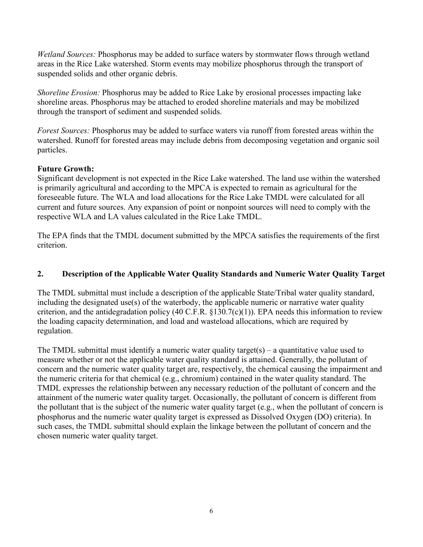*Wetland Sources:* Phosphorus may be added to surface waters by stormwater flows through wetland areas in the Rice Lake watershed. Storm events may mobilize phosphorus through the transport of suspended solids and other organic debris.

*Shoreline Erosion:* Phosphorus may be added to Rice Lake by erosional processes impacting lake shoreline areas. Phosphorus may be attached to eroded shoreline materials and may be mobilized through the transport of sediment and suspended solids.

*Forest Sources:* Phosphorus may be added to surface waters via runoff from forested areas within the watershed. Runoff for forested areas may include debris from decomposing vegetation and organic soil particles.

## **Future Growth:**

Significant development is not expected in the Rice Lake watershed. The land use within the watershed is primarily agricultural and according to the MPCA is expected to remain as agricultural for the foreseeable future. The WLA and load allocations for the Rice Lake TMDL were calculated for all current and future sources. Any expansion of point or nonpoint sources will need to comply with the respective WLA and LA values calculated in the Rice Lake TMDL.

The EPA finds that the TMDL document submitted by the MPCA satisfies the requirements of the first criterion.

### **2. Description of the Applicable Water Quality Standards and Numeric Water Quality Target**

The TMDL submittal must include a description of the applicable State/Tribal water quality standard, including the designated use(s) of the waterbody, the applicable numeric or narrative water quality criterion, and the antidegradation policy (40 C.F.R.  $$130.7(c)(1)$ ). EPA needs this information to review the loading capacity determination, and load and wasteload allocations, which are required by regulation.

The TMDL submittal must identify a numeric water quality target(s) – a quantitative value used to measure whether or not the applicable water quality standard is attained. Generally, the pollutant of concern and the numeric water quality target are, respectively, the chemical causing the impairment and the numeric criteria for that chemical (e.g., chromium) contained in the water quality standard. The TMDL expresses the relationship between any necessary reduction of the pollutant of concern and the attainment of the numeric water quality target. Occasionally, the pollutant of concern is different from the pollutant that is the subject of the numeric water quality target (e.g., when the pollutant of concern is phosphorus and the numeric water quality target is expressed as Dissolved Oxygen (DO) criteria). In such cases, the TMDL submittal should explain the linkage between the pollutant of concern and the chosen numeric water quality target.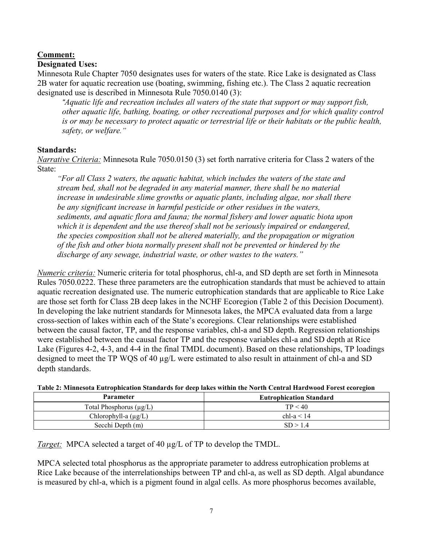# **Comment:**

## **Designated Uses:**

Minnesota Rule Chapter 7050 designates uses for waters of the state. Rice Lake is designated as Class 2B water for aquatic recreation use (boating, swimming, fishing etc.). The Class 2 aquatic recreation designated use is described in Minnesota Rule 7050.0140 (3):

*"Aquatic life and recreation includes all waters of the state that support or may support fish, other aquatic life, bathing, boating, or other recreational purposes and for which quality control is or may be necessary to protect aquatic or terrestrial life or their habitats or the public health, safety, or welfare."* 

## **Standards:**

*Narrative Criteria:* Minnesota Rule 7050.0150 (3) set forth narrative criteria for Class 2 waters of the State:

*"For all Class 2 waters, the aquatic habitat, which includes the waters of the state and stream bed, shall not be degraded in any material manner, there shall be no material increase in undesirable slime growths or aquatic plants, including algae, nor shall there be any significant increase in harmful pesticide or other residues in the waters, sediments, and aquatic flora and fauna; the normal fishery and lower aquatic biota upon which it is dependent and the use thereof shall not be seriously impaired or endangered, the species composition shall not be altered materially, and the propagation or migration of the fish and other biota normally present shall not be prevented or hindered by the discharge of any sewage, industrial waste, or other wastes to the waters."*

*Numeric criteria:* Numeric criteria for total phosphorus, chl-a, and SD depth are set forth in Minnesota Rules 7050.0222. These three parameters are the eutrophication standards that must be achieved to attain aquatic recreation designated use. The numeric eutrophication standards that are applicable to Rice Lake are those set forth for Class 2B deep lakes in the NCHF Ecoregion (Table 2 of this Decision Document). In developing the lake nutrient standards for Minnesota lakes, the MPCA evaluated data from a large cross-section of lakes within each of the State's ecoregions. Clear relationships were established between the causal factor, TP, and the response variables, chl-a and SD depth. Regression relationships were established between the causal factor TP and the response variables chl-a and SD depth at Rice Lake (Figures 4-2, 4-3, and 4-4 in the final TMDL document). Based on these relationships, TP loadings designed to meet the TP WQS of 40 µg/L were estimated to also result in attainment of chl-a and SD depth standards.

| Table 2, Minnesota Eutrophication Standards for deep fakes within the twi th Central Hardwood Forest ecoregion |                                |  |  |
|----------------------------------------------------------------------------------------------------------------|--------------------------------|--|--|
| <b>Parameter</b>                                                                                               | <b>Eutrophication Standard</b> |  |  |
| Total Phosphorus $(\mu g/L)$                                                                                   | TP < 40                        |  |  |
| Chlorophyll-a $(\mu g/L)$                                                                                      | chl-a $< 14$                   |  |  |
| Secchi Depth (m)                                                                                               | SD > 14                        |  |  |

**Table 2: Minnesota Eutrophication Standards for deep lakes within the North Central Hardwood Forest ecoregion** 

*Target:* MPCA selected a target of 40  $\mu$ g/L of TP to develop the TMDL.

MPCA selected total phosphorus as the appropriate parameter to address eutrophication problems at Rice Lake because of the interrelationships between TP and chl-a, as well as SD depth. Algal abundance is measured by chl-a, which is a pigment found in algal cells. As more phosphorus becomes available,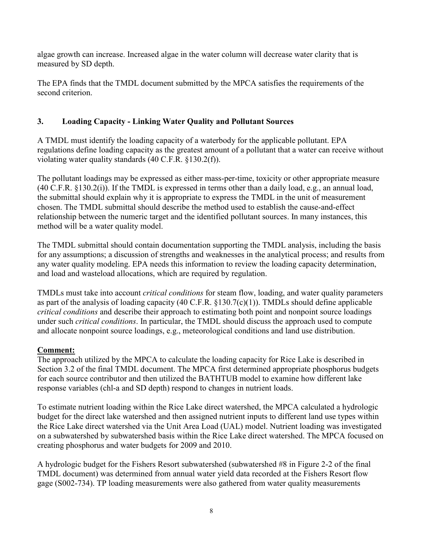algae growth can increase. Increased algae in the water column will decrease water clarity that is measured by SD depth.

The EPA finds that the TMDL document submitted by the MPCA satisfies the requirements of the second criterion.

## **3. Loading Capacity - Linking Water Quality and Pollutant Sources**

A TMDL must identify the loading capacity of a waterbody for the applicable pollutant. EPA regulations define loading capacity as the greatest amount of a pollutant that a water can receive without violating water quality standards (40 C.F.R. §130.2(f)).

The pollutant loadings may be expressed as either mass-per-time, toxicity or other appropriate measure (40 C.F.R. §130.2(i)). If the TMDL is expressed in terms other than a daily load, e.g., an annual load, the submittal should explain why it is appropriate to express the TMDL in the unit of measurement chosen. The TMDL submittal should describe the method used to establish the cause-and-effect relationship between the numeric target and the identified pollutant sources. In many instances, this method will be a water quality model.

The TMDL submittal should contain documentation supporting the TMDL analysis, including the basis for any assumptions; a discussion of strengths and weaknesses in the analytical process; and results from any water quality modeling. EPA needs this information to review the loading capacity determination, and load and wasteload allocations, which are required by regulation.

TMDLs must take into account *critical conditions* for steam flow, loading, and water quality parameters as part of the analysis of loading capacity (40 C.F.R. §130.7(c)(1)). TMDLs should define applicable *critical conditions* and describe their approach to estimating both point and nonpoint source loadings under such *critical conditions*. In particular, the TMDL should discuss the approach used to compute and allocate nonpoint source loadings, e.g., meteorological conditions and land use distribution.

# **Comment:**

The approach utilized by the MPCA to calculate the loading capacity for Rice Lake is described in Section 3.2 of the final TMDL document. The MPCA first determined appropriate phosphorus budgets for each source contributor and then utilized the BATHTUB model to examine how different lake response variables (chl-a and SD depth) respond to changes in nutrient loads.

To estimate nutrient loading within the Rice Lake direct watershed, the MPCA calculated a hydrologic budget for the direct lake watershed and then assigned nutrient inputs to different land use types within the Rice Lake direct watershed via the Unit Area Load (UAL) model. Nutrient loading was investigated on a subwatershed by subwatershed basis within the Rice Lake direct watershed. The MPCA focused on creating phosphorus and water budgets for 2009 and 2010.

A hydrologic budget for the Fishers Resort subwatershed (subwatershed #8 in Figure 2-2 of the final TMDL document) was determined from annual water yield data recorded at the Fishers Resort flow gage (S002-734). TP loading measurements were also gathered from water quality measurements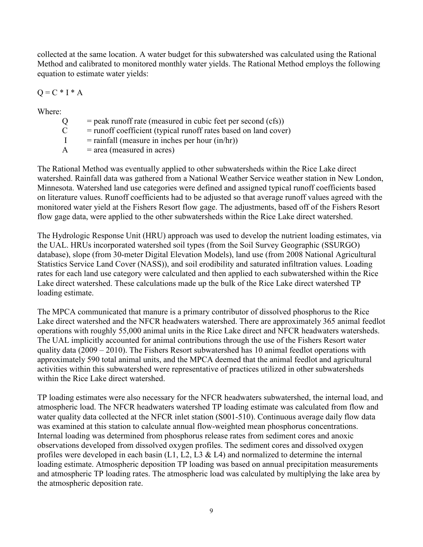collected at the same location. A water budget for this subwatershed was calculated using the Rational Method and calibrated to monitored monthly water yields. The Rational Method employs the following equation to estimate water yields:

$$
Q = C * I * A
$$

Where:

 $Q =$  peak runoff rate (measured in cubic feet per second (cfs))

 $C =$  runoff coefficient (typical runoff rates based on land cover)

 $I = \text{rainfall}$  (measure in inches per hour  $(\text{in/hr})$ )

 $A = area (measured in acres)$ 

The Rational Method was eventually applied to other subwatersheds within the Rice Lake direct watershed. Rainfall data was gathered from a National Weather Service weather station in New London, Minnesota. Watershed land use categories were defined and assigned typical runoff coefficients based on literature values. Runoff coefficients had to be adjusted so that average runoff values agreed with the monitored water yield at the Fishers Resort flow gage. The adjustments, based off of the Fishers Resort flow gage data, were applied to the other subwatersheds within the Rice Lake direct watershed.

The Hydrologic Response Unit (HRU) approach was used to develop the nutrient loading estimates, via the UAL. HRUs incorporated watershed soil types (from the Soil Survey Geographic (SSURGO) database), slope (from 30-meter Digital Elevation Models), land use (from 2008 National Agricultural Statistics Service Land Cover (NASS)), and soil erodibility and saturated infiltration values. Loading rates for each land use category were calculated and then applied to each subwatershed within the Rice Lake direct watershed. These calculations made up the bulk of the Rice Lake direct watershed TP loading estimate.

The MPCA communicated that manure is a primary contributor of dissolved phosphorus to the Rice Lake direct watershed and the NFCR headwaters watershed. There are approximately 365 animal feedlot operations with roughly 55,000 animal units in the Rice Lake direct and NFCR headwaters watersheds. The UAL implicitly accounted for animal contributions through the use of the Fishers Resort water quality data (2009 – 2010). The Fishers Resort subwatershed has 10 animal feedlot operations with approximately 590 total animal units, and the MPCA deemed that the animal feedlot and agricultural activities within this subwatershed were representative of practices utilized in other subwatersheds within the Rice Lake direct watershed.

TP loading estimates were also necessary for the NFCR headwaters subwatershed, the internal load, and atmospheric load. The NFCR headwaters watershed TP loading estimate was calculated from flow and water quality data collected at the NFCR inlet station (S001-510). Continuous average daily flow data was examined at this station to calculate annual flow-weighted mean phosphorus concentrations. Internal loading was determined from phosphorus release rates from sediment cores and anoxic observations developed from dissolved oxygen profiles. The sediment cores and dissolved oxygen profiles were developed in each basin (L1, L2, L3  $\&$  L4) and normalized to determine the internal loading estimate. Atmospheric deposition TP loading was based on annual precipitation measurements and atmospheric TP loading rates. The atmospheric load was calculated by multiplying the lake area by the atmospheric deposition rate.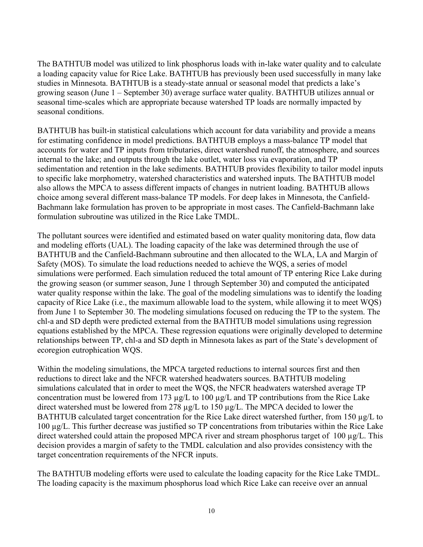The BATHTUB model was utilized to link phosphorus loads with in-lake water quality and to calculate a loading capacity value for Rice Lake. BATHTUB has previously been used successfully in many lake studies in Minnesota. BATHTUB is a steady-state annual or seasonal model that predicts a lake's growing season (June 1 – September 30) average surface water quality. BATHTUB utilizes annual or seasonal time-scales which are appropriate because watershed TP loads are normally impacted by seasonal conditions.

BATHTUB has built-in statistical calculations which account for data variability and provide a means for estimating confidence in model predictions. BATHTUB employs a mass-balance TP model that accounts for water and TP inputs from tributaries, direct watershed runoff, the atmosphere, and sources internal to the lake; and outputs through the lake outlet, water loss via evaporation, and TP sedimentation and retention in the lake sediments. BATHTUB provides flexibility to tailor model inputs to specific lake morphometry, watershed characteristics and watershed inputs. The BATHTUB model also allows the MPCA to assess different impacts of changes in nutrient loading. BATHTUB allows choice among several different mass-balance TP models. For deep lakes in Minnesota, the Canfield-Bachmann lake formulation has proven to be appropriate in most cases. The Canfield-Bachmann lake formulation subroutine was utilized in the Rice Lake TMDL.

The pollutant sources were identified and estimated based on water quality monitoring data, flow data and modeling efforts (UAL). The loading capacity of the lake was determined through the use of BATHTUB and the Canfield-Bachmann subroutine and then allocated to the WLA, LA and Margin of Safety (MOS). To simulate the load reductions needed to achieve the WQS, a series of model simulations were performed. Each simulation reduced the total amount of TP entering Rice Lake during the growing season (or summer season, June 1 through September 30) and computed the anticipated water quality response within the lake. The goal of the modeling simulations was to identify the loading capacity of Rice Lake (i.e., the maximum allowable load to the system, while allowing it to meet WQS) from June 1 to September 30. The modeling simulations focused on reducing the TP to the system. The chl-a and SD depth were predicted external from the BATHTUB model simulations using regression equations established by the MPCA. These regression equations were originally developed to determine relationships between TP, chl-a and SD depth in Minnesota lakes as part of the State's development of ecoregion eutrophication WQS.

Within the modeling simulations, the MPCA targeted reductions to internal sources first and then reductions to direct lake and the NFCR watershed headwaters sources. BATHTUB modeling simulations calculated that in order to meet the WQS, the NFCR headwaters watershed average TP concentration must be lowered from 173 µg/L to 100 µg/L and TP contributions from the Rice Lake direct watershed must be lowered from 278 µg/L to 150 µg/L. The MPCA decided to lower the BATHTUB calculated target concentration for the Rice Lake direct watershed further, from 150 µg/L to 100 µg/L. This further decrease was justified so TP concentrations from tributaries within the Rice Lake direct watershed could attain the proposed MPCA river and stream phosphorus target of 100  $\mu$ g/L. This decision provides a margin of safety to the TMDL calculation and also provides consistency with the target concentration requirements of the NFCR inputs.

The BATHTUB modeling efforts were used to calculate the loading capacity for the Rice Lake TMDL. The loading capacity is the maximum phosphorus load which Rice Lake can receive over an annual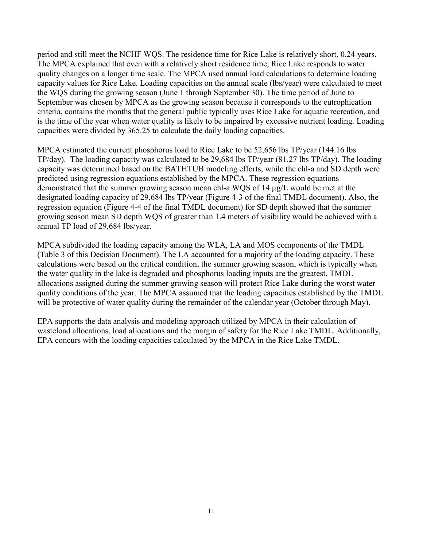period and still meet the NCHF WQS. The residence time for Rice Lake is relatively short, 0.24 years. The MPCA explained that even with a relatively short residence time, Rice Lake responds to water quality changes on a longer time scale. The MPCA used annual load calculations to determine loading capacity values for Rice Lake. Loading capacities on the annual scale (lbs/year) were calculated to meet the WQS during the growing season (June 1 through September 30). The time period of June to September was chosen by MPCA as the growing season because it corresponds to the eutrophication criteria, contains the months that the general public typically uses Rice Lake for aquatic recreation, and is the time of the year when water quality is likely to be impaired by excessive nutrient loading. Loading capacities were divided by 365.25 to calculate the daily loading capacities.

MPCA estimated the current phosphorus load to Rice Lake to be 52,656 lbs TP/year (144.16 lbs TP/day). The loading capacity was calculated to be 29,684 lbs TP/year (81.27 lbs TP/day). The loading capacity was determined based on the BATHTUB modeling efforts, while the chl-a and SD depth were predicted using regression equations established by the MPCA. These regression equations demonstrated that the summer growing season mean chl-a WQS of 14 µg/L would be met at the designated loading capacity of 29,684 lbs TP/year (Figure 4-3 of the final TMDL document). Also, the regression equation (Figure 4-4 of the final TMDL document) for SD depth showed that the summer growing season mean SD depth WQS of greater than 1.4 meters of visibility would be achieved with a annual TP load of 29,684 lbs/year.

MPCA subdivided the loading capacity among the WLA, LA and MOS components of the TMDL (Table 3 of this Decision Document). The LA accounted for a majority of the loading capacity. These calculations were based on the critical condition, the summer growing season, which is typically when the water quality in the lake is degraded and phosphorus loading inputs are the greatest. TMDL allocations assigned during the summer growing season will protect Rice Lake during the worst water quality conditions of the year. The MPCA assumed that the loading capacities established by the TMDL will be protective of water quality during the remainder of the calendar year (October through May).

EPA supports the data analysis and modeling approach utilized by MPCA in their calculation of wasteload allocations, load allocations and the margin of safety for the Rice Lake TMDL. Additionally, EPA concurs with the loading capacities calculated by the MPCA in the Rice Lake TMDL.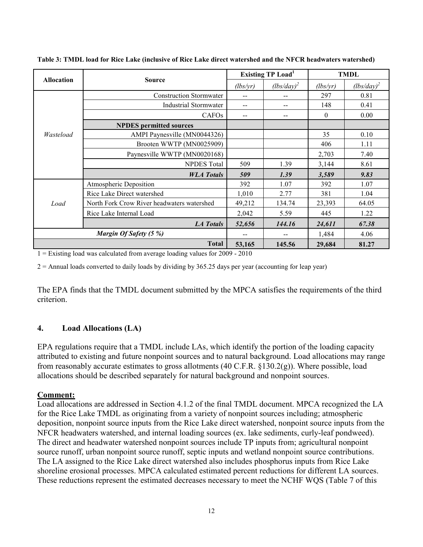|                   |                                            | <b>Existing TP Load</b> <sup>1</sup>                                                                                                                                                                                                                           |               | <b>TMDL</b> |               |
|-------------------|--------------------------------------------|----------------------------------------------------------------------------------------------------------------------------------------------------------------------------------------------------------------------------------------------------------------|---------------|-------------|---------------|
| <b>Allocation</b> |                                            | (lbs/yr)                                                                                                                                                                                                                                                       | $(lbs/day)^2$ | (lbs/yr)    | $(lbs/day)^2$ |
|                   | <b>Construction Stormwater</b>             | --                                                                                                                                                                                                                                                             |               | 297         | 0.81          |
|                   | <b>Industrial Stormwater</b>               | --                                                                                                                                                                                                                                                             | --            | 148         | 0.41          |
|                   | CAFO <sub>s</sub>                          | $-$                                                                                                                                                                                                                                                            | --            | $\theta$    | 0.00          |
| Wasteload         | <b>NPDES</b> permitted sources             |                                                                                                                                                                                                                                                                |               |             |               |
|                   | AMPI Paynesville (MN0044326)               |                                                                                                                                                                                                                                                                |               | 35          | 0.10          |
|                   | Brooten WWTP (MN0025909)                   |                                                                                                                                                                                                                                                                |               | 406         | 1.11          |
|                   | Paynesville WWTP (MN0020168)               |                                                                                                                                                                                                                                                                |               | 2,703       | 7.40          |
|                   | <b>NPDES</b> Total                         | 509                                                                                                                                                                                                                                                            | 1.39          | 3,144       | 8.61          |
|                   | <b>WLA</b> Totals                          | 9.83<br>509<br>1.39<br>3,589<br>392<br>1.07<br>1.07<br>392<br>1,010<br>2.77<br>381<br>1.04<br>49,212<br>134.74<br>23,393<br>2,042<br>1.22<br>5.59<br>445<br>52,656<br>144.16<br>24,611<br>1,484<br>4.06<br><b>Total</b><br>53,165<br>145.56<br>29,684<br>81.27 |               |             |               |
|                   | Atmospheric Deposition                     |                                                                                                                                                                                                                                                                |               |             |               |
|                   | Rice Lake Direct watershed                 | <b>Source</b><br><b>LA Totals</b>                                                                                                                                                                                                                              |               |             |               |
| Load              | North Fork Crow River headwaters watershed |                                                                                                                                                                                                                                                                |               |             | 64.05         |
|                   | Rice Lake Internal Load                    |                                                                                                                                                                                                                                                                |               |             |               |
|                   |                                            |                                                                                                                                                                                                                                                                |               |             | 67.38         |
|                   | Margin Of Safety (5 %)                     |                                                                                                                                                                                                                                                                |               |             |               |
|                   |                                            |                                                                                                                                                                                                                                                                |               |             |               |

**Table 3: TMDL load for Rice Lake (inclusive of Rice Lake direct watershed and the NFCR headwaters watershed)** 

 $1 =$  Existing load was calculated from average loading values for 2009 - 2010

 $2 =$  Annual loads converted to daily loads by dividing by 365.25 days per year (accounting for leap year)

The EPA finds that the TMDL document submitted by the MPCA satisfies the requirements of the third criterion.

### **4. Load Allocations (LA)**

EPA regulations require that a TMDL include LAs, which identify the portion of the loading capacity attributed to existing and future nonpoint sources and to natural background. Load allocations may range from reasonably accurate estimates to gross allotments (40 C.F.R. §130.2(g)). Where possible, load allocations should be described separately for natural background and nonpoint sources.

#### **Comment:**

Load allocations are addressed in Section 4.1.2 of the final TMDL document. MPCA recognized the LA for the Rice Lake TMDL as originating from a variety of nonpoint sources including; atmospheric deposition, nonpoint source inputs from the Rice Lake direct watershed, nonpoint source inputs from the NFCR headwaters watershed, and internal loading sources (ex. lake sediments, curly-leaf pondweed). The direct and headwater watershed nonpoint sources include TP inputs from; agricultural nonpoint source runoff, urban nonpoint source runoff, septic inputs and wetland nonpoint source contributions. The LA assigned to the Rice Lake direct watershed also includes phosphorus inputs from Rice Lake shoreline erosional processes. MPCA calculated estimated percent reductions for different LA sources. These reductions represent the estimated decreases necessary to meet the NCHF WQS (Table 7 of this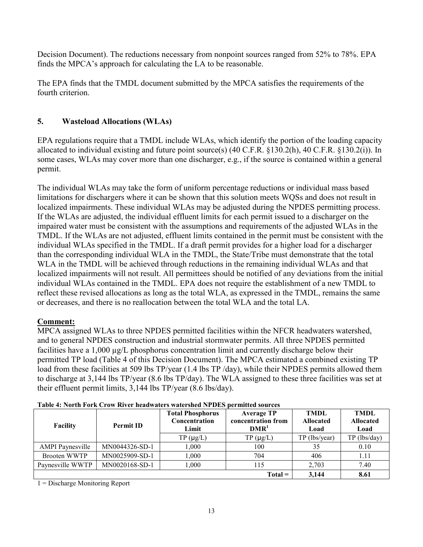Decision Document). The reductions necessary from nonpoint sources ranged from 52% to 78%. EPA finds the MPCA's approach for calculating the LA to be reasonable.

The EPA finds that the TMDL document submitted by the MPCA satisfies the requirements of the fourth criterion.

## **5. Wasteload Allocations (WLAs)**

EPA regulations require that a TMDL include WLAs, which identify the portion of the loading capacity allocated to individual existing and future point source(s) (40 C.F.R. §130.2(h), 40 C.F.R. §130.2(i)). In some cases, WLAs may cover more than one discharger, e.g., if the source is contained within a general permit.

The individual WLAs may take the form of uniform percentage reductions or individual mass based limitations for dischargers where it can be shown that this solution meets WQSs and does not result in localized impairments. These individual WLAs may be adjusted during the NPDES permitting process. If the WLAs are adjusted, the individual effluent limits for each permit issued to a discharger on the impaired water must be consistent with the assumptions and requirements of the adjusted WLAs in the TMDL. If the WLAs are not adjusted, effluent limits contained in the permit must be consistent with the individual WLAs specified in the TMDL. If a draft permit provides for a higher load for a discharger than the corresponding individual WLA in the TMDL, the State/Tribe must demonstrate that the total WLA in the TMDL will be achieved through reductions in the remaining individual WLAs and that localized impairments will not result. All permittees should be notified of any deviations from the initial individual WLAs contained in the TMDL. EPA does not require the establishment of a new TMDL to reflect these revised allocations as long as the total WLA, as expressed in the TMDL, remains the same or decreases, and there is no reallocation between the total WLA and the total LA.

# **Comment:**

MPCA assigned WLAs to three NPDES permitted facilities within the NFCR headwaters watershed, and to general NPDES construction and industrial stormwater permits. All three NPDES permitted facilities have a 1,000 µg/L phosphorus concentration limit and currently discharge below their permitted TP load (Table 4 of this Decision Document). The MPCA estimated a combined existing TP load from these facilities at 509 lbs TP/year (1.4 lbs TP /day), while their NPDES permits allowed them to discharge at 3,144 lbs TP/year (8.6 lbs TP/day). The WLA assigned to these three facilities was set at their effluent permit limits, 3,144 lbs TP/year (8.6 lbs/day).

| <b>Facility</b>         | <b>Permit ID</b> | <b>Total Phosphorus</b><br><b>Average TP</b><br>concentration from<br>Concentration<br>DMR <sup>1</sup><br>Limit |               | <b>TMDL</b><br><b>Allocated</b><br>Load | <b>TMDL</b><br><b>Allocated</b><br>Load |
|-------------------------|------------------|------------------------------------------------------------------------------------------------------------------|---------------|-----------------------------------------|-----------------------------------------|
|                         |                  | $TP(\mu g/L)$                                                                                                    | $TP(\mu g/L)$ | TP (lbs/year)                           | TP (lbs/day)                            |
| <b>AMPI</b> Paynesville | MN0044326-SD-1   | 1.000                                                                                                            | 100           | 35                                      | 0.10                                    |
| Brooten WWTP            | MN0025909-SD-1   | 000.1                                                                                                            | 704           | 406                                     | 1.11                                    |
| Paynesville WWTP        | MN0020168-SD-1   | 1.000                                                                                                            | 115           | 2,703                                   | 7.40                                    |
|                         |                  |                                                                                                                  | $Total =$     | 3.144                                   | 8.61                                    |

|  | Table 4: North Fork Crow River headwaters watershed NPDES permitted sources |
|--|-----------------------------------------------------------------------------|
|  |                                                                             |

1 = Discharge Monitoring Report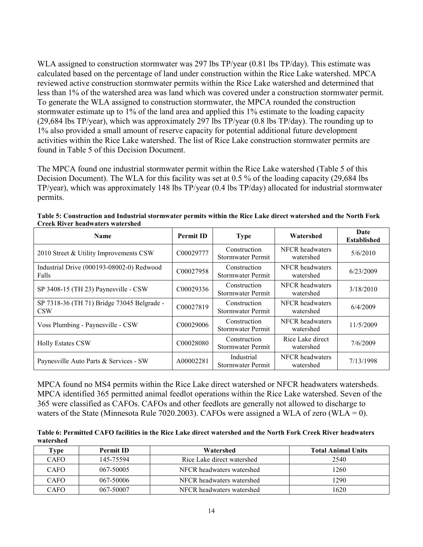WLA assigned to construction stormwater was 297 lbs TP/year (0.81 lbs TP/day). This estimate was calculated based on the percentage of land under construction within the Rice Lake watershed. MPCA reviewed active construction stormwater permits within the Rice Lake watershed and determined that less than 1% of the watershed area was land which was covered under a construction stormwater permit. To generate the WLA assigned to construction stormwater, the MPCA rounded the construction stormwater estimate up to 1% of the land area and applied this 1% estimate to the loading capacity (29,684 lbs TP/year), which was approximately 297 lbs TP/year (0.8 lbs TP/day). The rounding up to 1% also provided a small amount of reserve capacity for potential additional future development activities within the Rice Lake watershed. The list of Rice Lake construction stormwater permits are found in Table 5 of this Decision Document.

The MPCA found one industrial stormwater permit within the Rice Lake watershed (Table 5 of this Decision Document). The WLA for this facility was set at 0.5 % of the loading capacity (29,684 lbs TP/year), which was approximately 148 lbs TP/year (0.4 lbs TP/day) allocated for industrial stormwater permits.

| <b>Name</b>                                              | <b>Permit ID</b> | <b>Type</b>                              | Watershed                     | Date<br><b>Established</b> |
|----------------------------------------------------------|------------------|------------------------------------------|-------------------------------|----------------------------|
| 2010 Street & Utility Improvements CSW                   | C00029777        | Construction<br>Stormwater Permit        | NFCR headwaters<br>watershed  | 5/6/2010                   |
| Industrial Drive (000193-08002-0) Redwood<br>Falls       | C00027958        | Construction<br>Stormwater Permit        | NFCR headwaters<br>watershed  | 6/23/2009                  |
| SP 3408-15 (TH 23) Paynesville - CSW                     | C00029336        | Construction<br>Stormwater Permit        | NFCR headwaters<br>watershed  | 3/18/2010                  |
| SP 7318-36 (TH 71) Bridge 73045 Belgrade -<br><b>CSW</b> | C00027819        | Construction<br>Stormwater Permit        | NFCR headwaters<br>watershed  | 6/4/2009                   |
| Voss Plumbing - Paynesville - CSW                        | C00029006        | Construction<br><b>Stormwater Permit</b> | NFCR headwaters<br>watershed  | 11/5/2009                  |
| <b>Holly Estates CSW</b>                                 | C00028080        | Construction<br>Stormwater Permit        | Rice Lake direct<br>watershed | 7/6/2009                   |
| Paynesville Auto Parts & Services - SW                   | A00002281        | Industrial<br>Stormwater Permit          | NFCR headwaters<br>watershed  | 7/13/1998                  |

**Table 5: Construction and Industrial stormwater permits within the Rice Lake direct watershed and the North Fork Creek River headwaters watershed** 

MPCA found no MS4 permits within the Rice Lake direct watershed or NFCR headwaters watersheds. MPCA identified 365 permitted animal feedlot operations within the Rice Lake watershed. Seven of the 365 were classified as CAFOs. CAFOs and other feedlots are generally not allowed to discharge to waters of the State (Minnesota Rule 7020.2003). CAFOs were assigned a WLA of zero (WLA = 0).

**Table 6: Permitted CAFO facilities in the Rice Lake direct watershed and the North Fork Creek River headwaters watershed** 

| Fype        | <b>Permit ID</b> | Watershed                  | <b>Total Animal Units</b> |
|-------------|------------------|----------------------------|---------------------------|
| CAFO        | 145-75594        | Rice Lake direct watershed | 2540                      |
| CAFO        | 067-50005        | NFCR headwaters watershed  | 1260                      |
| <b>CAFO</b> | 067-50006        | NFCR headwaters watershed  | 1290                      |
| CAFO        | 067-50007        | NFCR headwaters watershed  | 1620                      |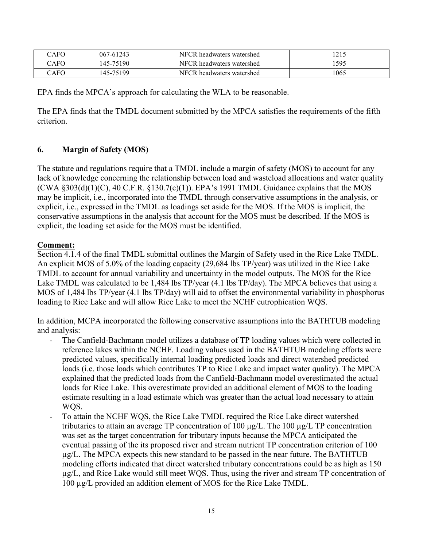| $\bigcirc$ AFO | 067-61243  | NFCR headwaters watershed | 121 <sup>c</sup><br>ل 1 کے ا |
|----------------|------------|---------------------------|------------------------------|
| CAFO           | 145-75190  | NFCR headwaters watershed | 1595                         |
| CAFO           | (45-75199) | NFCR headwaters watershed | 1065                         |

EPA finds the MPCA's approach for calculating the WLA to be reasonable.

The EPA finds that the TMDL document submitted by the MPCA satisfies the requirements of the fifth criterion.

## **6. Margin of Safety (MOS)**

The statute and regulations require that a TMDL include a margin of safety (MOS) to account for any lack of knowledge concerning the relationship between load and wasteload allocations and water quality  $(CWA \S 303(d)(1)(C), 40 C.F.R. \S 130.7(c)(1))$ . EPA's 1991 TMDL Guidance explains that the MOS may be implicit, i.e., incorporated into the TMDL through conservative assumptions in the analysis, or explicit, i.e., expressed in the TMDL as loadings set aside for the MOS. If the MOS is implicit, the conservative assumptions in the analysis that account for the MOS must be described. If the MOS is explicit, the loading set aside for the MOS must be identified.

## **Comment:**

Section 4.1.4 of the final TMDL submittal outlines the Margin of Safety used in the Rice Lake TMDL. An explicit MOS of 5.0% of the loading capacity (29,684 lbs TP/year) was utilized in the Rice Lake TMDL to account for annual variability and uncertainty in the model outputs. The MOS for the Rice Lake TMDL was calculated to be 1,484 lbs TP/year (4.1 lbs TP/day). The MPCA believes that using a MOS of 1,484 lbs TP/year (4.1 lbs TP/day) will aid to offset the environmental variability in phosphorus loading to Rice Lake and will allow Rice Lake to meet the NCHF eutrophication WQS.

In addition, MCPA incorporated the following conservative assumptions into the BATHTUB modeling and analysis:

- The Canfield-Bachmann model utilizes a database of TP loading values which were collected in reference lakes within the NCHF. Loading values used in the BATHTUB modeling efforts were predicted values, specifically internal loading predicted loads and direct watershed predicted loads (i.e. those loads which contributes TP to Rice Lake and impact water quality). The MPCA explained that the predicted loads from the Canfield-Bachmann model overestimated the actual loads for Rice Lake. This overestimate provided an additional element of MOS to the loading estimate resulting in a load estimate which was greater than the actual load necessary to attain WQS.
- To attain the NCHF WQS, the Rice Lake TMDL required the Rice Lake direct watershed tributaries to attain an average TP concentration of 100 µg/L. The 100 µg/L TP concentration was set as the target concentration for tributary inputs because the MPCA anticipated the eventual passing of the its proposed river and stream nutrient TP concentration criterion of 100  $\mu$ g/L. The MPCA expects this new standard to be passed in the near future. The BATHTUB modeling efforts indicated that direct watershed tributary concentrations could be as high as 150 µg/L, and Rice Lake would still meet WQS. Thus, using the river and stream TP concentration of 100 µg/L provided an addition element of MOS for the Rice Lake TMDL.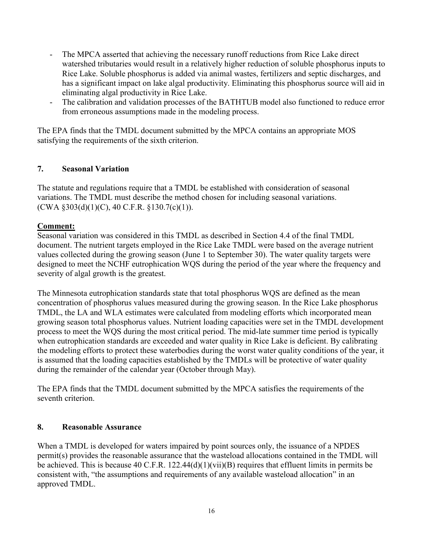- The MPCA asserted that achieving the necessary runoff reductions from Rice Lake direct watershed tributaries would result in a relatively higher reduction of soluble phosphorus inputs to Rice Lake. Soluble phosphorus is added via animal wastes, fertilizers and septic discharges, and has a significant impact on lake algal productivity. Eliminating this phosphorus source will aid in eliminating algal productivity in Rice Lake.
- The calibration and validation processes of the BATHTUB model also functioned to reduce error from erroneous assumptions made in the modeling process.

The EPA finds that the TMDL document submitted by the MPCA contains an appropriate MOS satisfying the requirements of the sixth criterion.

### **7. Seasonal Variation**

The statute and regulations require that a TMDL be established with consideration of seasonal variations. The TMDL must describe the method chosen for including seasonal variations.  $(CWA §303(d)(1)(C), 40 C.F.R. §130.7(c)(1)).$ 

### **Comment:**

Seasonal variation was considered in this TMDL as described in Section 4.4 of the final TMDL document. The nutrient targets employed in the Rice Lake TMDL were based on the average nutrient values collected during the growing season (June 1 to September 30). The water quality targets were designed to meet the NCHF eutrophication WQS during the period of the year where the frequency and severity of algal growth is the greatest.

The Minnesota eutrophication standards state that total phosphorus WQS are defined as the mean concentration of phosphorus values measured during the growing season. In the Rice Lake phosphorus TMDL, the LA and WLA estimates were calculated from modeling efforts which incorporated mean growing season total phosphorus values. Nutrient loading capacities were set in the TMDL development process to meet the WQS during the most critical period. The mid-late summer time period is typically when eutrophication standards are exceeded and water quality in Rice Lake is deficient. By calibrating the modeling efforts to protect these waterbodies during the worst water quality conditions of the year, it is assumed that the loading capacities established by the TMDLs will be protective of water quality during the remainder of the calendar year (October through May).

The EPA finds that the TMDL document submitted by the MPCA satisfies the requirements of the seventh criterion.

#### **8. Reasonable Assurance**

When a TMDL is developed for waters impaired by point sources only, the issuance of a NPDES permit(s) provides the reasonable assurance that the wasteload allocations contained in the TMDL will be achieved. This is because 40 C.F.R. 122.44(d)(1)(vii)(B) requires that effluent limits in permits be consistent with, "the assumptions and requirements of any available wasteload allocation" in an approved TMDL.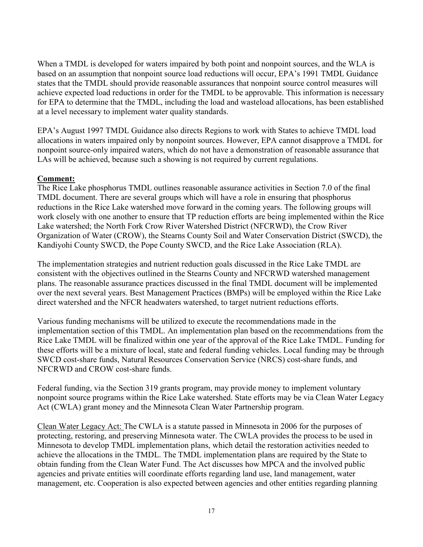When a TMDL is developed for waters impaired by both point and nonpoint sources, and the WLA is based on an assumption that nonpoint source load reductions will occur, EPA's 1991 TMDL Guidance states that the TMDL should provide reasonable assurances that nonpoint source control measures will achieve expected load reductions in order for the TMDL to be approvable. This information is necessary for EPA to determine that the TMDL, including the load and wasteload allocations, has been established at a level necessary to implement water quality standards.

EPA's August 1997 TMDL Guidance also directs Regions to work with States to achieve TMDL load allocations in waters impaired only by nonpoint sources. However, EPA cannot disapprove a TMDL for nonpoint source-only impaired waters, which do not have a demonstration of reasonable assurance that LAs will be achieved, because such a showing is not required by current regulations.

### **Comment:**

The Rice Lake phosphorus TMDL outlines reasonable assurance activities in Section 7.0 of the final TMDL document. There are several groups which will have a role in ensuring that phosphorus reductions in the Rice Lake watershed move forward in the coming years. The following groups will work closely with one another to ensure that TP reduction efforts are being implemented within the Rice Lake watershed; the North Fork Crow River Watershed District (NFCRWD), the Crow River Organization of Water (CROW), the Stearns County Soil and Water Conservation District (SWCD), the Kandiyohi County SWCD, the Pope County SWCD, and the Rice Lake Association (RLA).

The implementation strategies and nutrient reduction goals discussed in the Rice Lake TMDL are consistent with the objectives outlined in the Stearns County and NFCRWD watershed management plans. The reasonable assurance practices discussed in the final TMDL document will be implemented over the next several years. Best Management Practices (BMPs) will be employed within the Rice Lake direct watershed and the NFCR headwaters watershed, to target nutrient reductions efforts.

Various funding mechanisms will be utilized to execute the recommendations made in the implementation section of this TMDL. An implementation plan based on the recommendations from the Rice Lake TMDL will be finalized within one year of the approval of the Rice Lake TMDL. Funding for these efforts will be a mixture of local, state and federal funding vehicles. Local funding may be through SWCD cost-share funds, Natural Resources Conservation Service (NRCS) cost-share funds, and NFCRWD and CROW cost-share funds.

Federal funding, via the Section 319 grants program, may provide money to implement voluntary nonpoint source programs within the Rice Lake watershed. State efforts may be via Clean Water Legacy Act (CWLA) grant money and the Minnesota Clean Water Partnership program.

Clean Water Legacy Act: The CWLA is a statute passed in Minnesota in 2006 for the purposes of protecting, restoring, and preserving Minnesota water. The CWLA provides the process to be used in Minnesota to develop TMDL implementation plans, which detail the restoration activities needed to achieve the allocations in the TMDL. The TMDL implementation plans are required by the State to obtain funding from the Clean Water Fund. The Act discusses how MPCA and the involved public agencies and private entities will coordinate efforts regarding land use, land management, water management, etc. Cooperation is also expected between agencies and other entities regarding planning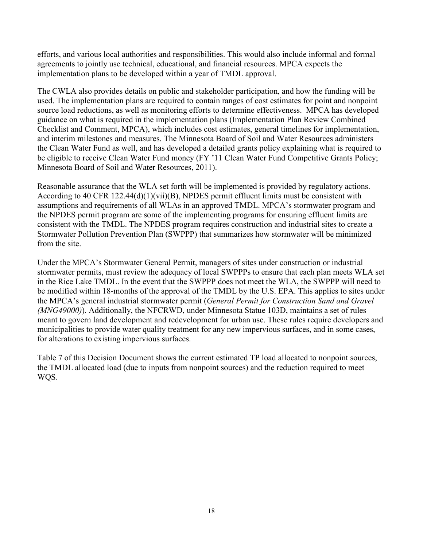efforts, and various local authorities and responsibilities. This would also include informal and formal agreements to jointly use technical, educational, and financial resources. MPCA expects the implementation plans to be developed within a year of TMDL approval.

The CWLA also provides details on public and stakeholder participation, and how the funding will be used. The implementation plans are required to contain ranges of cost estimates for point and nonpoint source load reductions, as well as monitoring efforts to determine effectiveness. MPCA has developed guidance on what is required in the implementation plans (Implementation Plan Review Combined Checklist and Comment, MPCA), which includes cost estimates, general timelines for implementation, and interim milestones and measures. The Minnesota Board of Soil and Water Resources administers the Clean Water Fund as well, and has developed a detailed grants policy explaining what is required to be eligible to receive Clean Water Fund money (FY '11 Clean Water Fund Competitive Grants Policy; Minnesota Board of Soil and Water Resources, 2011).

Reasonable assurance that the WLA set forth will be implemented is provided by regulatory actions. According to 40 CFR 122.44(d)(1)(vii)(B), NPDES permit effluent limits must be consistent with assumptions and requirements of all WLAs in an approved TMDL. MPCA's stormwater program and the NPDES permit program are some of the implementing programs for ensuring effluent limits are consistent with the TMDL. The NPDES program requires construction and industrial sites to create a Stormwater Pollution Prevention Plan (SWPPP) that summarizes how stormwater will be minimized from the site.

Under the MPCA's Stormwater General Permit, managers of sites under construction or industrial stormwater permits, must review the adequacy of local SWPPPs to ensure that each plan meets WLA set in the Rice Lake TMDL. In the event that the SWPPP does not meet the WLA, the SWPPP will need to be modified within 18-months of the approval of the TMDL by the U.S. EPA. This applies to sites under the MPCA's general industrial stormwater permit (*General Permit for Construction Sand and Gravel (MNG49000)*). Additionally, the NFCRWD, under Minnesota Statue 103D, maintains a set of rules meant to govern land development and redevelopment for urban use. These rules require developers and municipalities to provide water quality treatment for any new impervious surfaces, and in some cases, for alterations to existing impervious surfaces.

Table 7 of this Decision Document shows the current estimated TP load allocated to nonpoint sources, the TMDL allocated load (due to inputs from nonpoint sources) and the reduction required to meet WQS.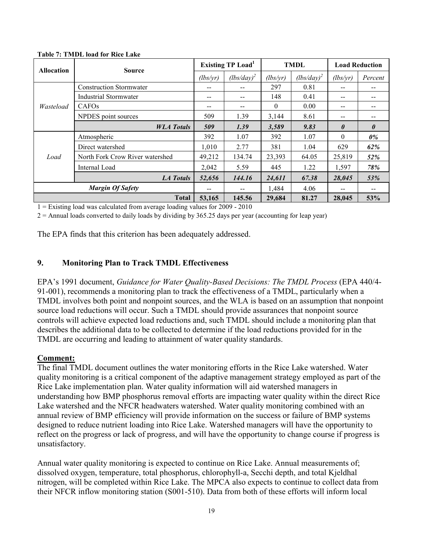| <b>Allocation</b><br>Wasteload<br>Load | <b>Source</b>                   | Existing TP Load <sup>1</sup> |               | <b>TMDL</b> |               | <b>Load Reduction</b> |                       |
|----------------------------------------|---------------------------------|-------------------------------|---------------|-------------|---------------|-----------------------|-----------------------|
|                                        |                                 | (lbs/vr)                      | $(lbs/day)^2$ | (lbs/vr)    | $(lbs/day)^2$ | (lbs/yr)              | Percent               |
|                                        | <b>Construction Stormwater</b>  |                               |               | 297         | 0.81          | --                    | --                    |
|                                        | <b>Industrial Stormwater</b>    | $- -$                         |               | 148         | 0.41          | $- -$                 | --                    |
|                                        | CAFO <sub>s</sub>               |                               |               | 0           | 0.00          | --                    | --                    |
|                                        | NPDES point sources             | 509                           | 1.39          | 3,144       | 8.61          | $- -$                 |                       |
|                                        | <b>WLA</b> Totals               | 509                           | 1.39          | 3,589       | 9.83          | $\theta$              | $\boldsymbol{\theta}$ |
|                                        | Atmospheric                     | 392                           | 1.07          | 392         | 1.07          | $\theta$              | 0%                    |
|                                        | Direct watershed                | 1,010                         | 2.77          | 381         | 1.04          | 629                   | 62%                   |
|                                        | North Fork Crow River watershed | 49,212                        | 134.74        | 23,393      | 64.05         | 25,819                | 52%                   |
|                                        | Internal Load                   | 2,042                         | 5.59          | 445         | 1.22          | 1,597                 | 78%                   |
|                                        | <b>LA Totals</b>                | 52,656                        | 144.16        | 24,611      | 67.38         | 28,045                | 53%                   |
| <b>Margin Of Safety</b>                |                                 |                               |               | 1,484       | 4.06          | $- -$                 | --                    |
|                                        | <b>Total</b>                    | 53,165                        | 145.56        | 29,684      | 81.27         | 28,045                | 53%                   |

**Table 7: TMDL load for Rice Lake** 

1 = Existing load was calculated from average loading values for 2009 - 2010

 $2 =$  Annual loads converted to daily loads by dividing by 365.25 days per year (accounting for leap year)

The EPA finds that this criterion has been adequately addressed.

### **9. Monitoring Plan to Track TMDL Effectiveness**

EPA's 1991 document, *Guidance for Water Quality-Based Decisions: The TMDL Process* (EPA 440/4- 91-001), recommends a monitoring plan to track the effectiveness of a TMDL, particularly when a TMDL involves both point and nonpoint sources, and the WLA is based on an assumption that nonpoint source load reductions will occur. Such a TMDL should provide assurances that nonpoint source controls will achieve expected load reductions and, such TMDL should include a monitoring plan that describes the additional data to be collected to determine if the load reductions provided for in the TMDL are occurring and leading to attainment of water quality standards.

#### **Comment:**

The final TMDL document outlines the water monitoring efforts in the Rice Lake watershed. Water quality monitoring is a critical component of the adaptive management strategy employed as part of the Rice Lake implementation plan. Water quality information will aid watershed managers in understanding how BMP phosphorus removal efforts are impacting water quality within the direct Rice Lake watershed and the NFCR headwaters watershed. Water quality monitoring combined with an annual review of BMP efficiency will provide information on the success or failure of BMP systems designed to reduce nutrient loading into Rice Lake. Watershed managers will have the opportunity to reflect on the progress or lack of progress, and will have the opportunity to change course if progress is unsatisfactory.

Annual water quality monitoring is expected to continue on Rice Lake. Annual measurements of; dissolved oxygen, temperature, total phosphorus, chlorophyll-a, Secchi depth, and total Kjeldhal nitrogen, will be completed within Rice Lake. The MPCA also expects to continue to collect data from their NFCR inflow monitoring station (S001-510). Data from both of these efforts will inform local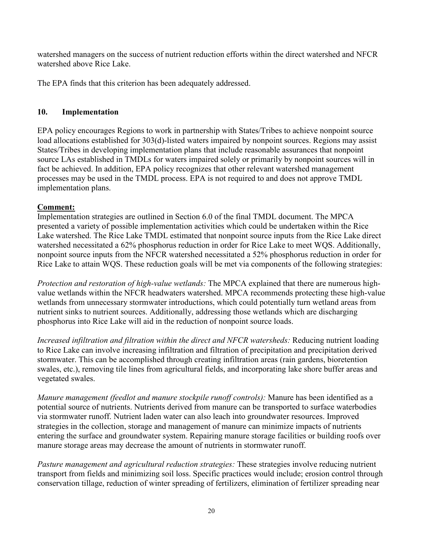watershed managers on the success of nutrient reduction efforts within the direct watershed and NFCR watershed above Rice Lake.

The EPA finds that this criterion has been adequately addressed.

## **10. Implementation**

EPA policy encourages Regions to work in partnership with States/Tribes to achieve nonpoint source load allocations established for 303(d)-listed waters impaired by nonpoint sources. Regions may assist States/Tribes in developing implementation plans that include reasonable assurances that nonpoint source LAs established in TMDLs for waters impaired solely or primarily by nonpoint sources will in fact be achieved. In addition, EPA policy recognizes that other relevant watershed management processes may be used in the TMDL process. EPA is not required to and does not approve TMDL implementation plans.

## **Comment:**

Implementation strategies are outlined in Section 6.0 of the final TMDL document. The MPCA presented a variety of possible implementation activities which could be undertaken within the Rice Lake watershed. The Rice Lake TMDL estimated that nonpoint source inputs from the Rice Lake direct watershed necessitated a 62% phosphorus reduction in order for Rice Lake to meet WQS. Additionally, nonpoint source inputs from the NFCR watershed necessitated a 52% phosphorus reduction in order for Rice Lake to attain WQS. These reduction goals will be met via components of the following strategies:

*Protection and restoration of high-value wetlands:* The MPCA explained that there are numerous highvalue wetlands within the NFCR headwaters watershed. MPCA recommends protecting these high-value wetlands from unnecessary stormwater introductions, which could potentially turn wetland areas from nutrient sinks to nutrient sources. Additionally, addressing those wetlands which are discharging phosphorus into Rice Lake will aid in the reduction of nonpoint source loads.

*Increased infiltration and filtration within the direct and NFCR watersheds:* Reducing nutrient loading to Rice Lake can involve increasing infiltration and filtration of precipitation and precipitation derived stormwater. This can be accomplished through creating infiltration areas (rain gardens, bioretention swales, etc.), removing tile lines from agricultural fields, and incorporating lake shore buffer areas and vegetated swales.

*Manure management (feedlot and manure stockpile runoff controls):* Manure has been identified as a potential source of nutrients. Nutrients derived from manure can be transported to surface waterbodies via stormwater runoff. Nutrient laden water can also leach into groundwater resources. Improved strategies in the collection, storage and management of manure can minimize impacts of nutrients entering the surface and groundwater system. Repairing manure storage facilities or building roofs over manure storage areas may decrease the amount of nutrients in stormwater runoff.

*Pasture management and agricultural reduction strategies:* These strategies involve reducing nutrient transport from fields and minimizing soil loss. Specific practices would include; erosion control through conservation tillage, reduction of winter spreading of fertilizers, elimination of fertilizer spreading near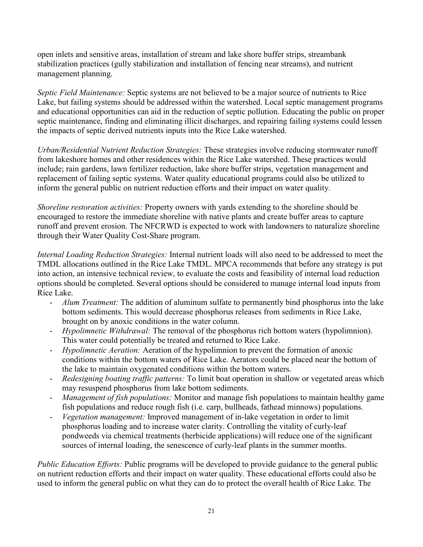open inlets and sensitive areas, installation of stream and lake shore buffer strips, streambank stabilization practices (gully stabilization and installation of fencing near streams), and nutrient management planning.

*Septic Field Maintenance:* Septic systems are not believed to be a major source of nutrients to Rice Lake, but failing systems should be addressed within the watershed. Local septic management programs and educational opportunities can aid in the reduction of septic pollution. Educating the public on proper septic maintenance, finding and eliminating illicit discharges, and repairing failing systems could lessen the impacts of septic derived nutrients inputs into the Rice Lake watershed.

*Urban/Residential Nutrient Reduction Strategies:* These strategies involve reducing stormwater runoff from lakeshore homes and other residences within the Rice Lake watershed. These practices would include; rain gardens, lawn fertilizer reduction, lake shore buffer strips, vegetation management and replacement of failing septic systems. Water quality educational programs could also be utilized to inform the general public on nutrient reduction efforts and their impact on water quality.

*Shoreline restoration activities:* Property owners with yards extending to the shoreline should be encouraged to restore the immediate shoreline with native plants and create buffer areas to capture runoff and prevent erosion. The NFCRWD is expected to work with landowners to naturalize shoreline through their Water Quality Cost-Share program.

*Internal Loading Reduction Strategies:* Internal nutrient loads will also need to be addressed to meet the TMDL allocations outlined in the Rice Lake TMDL. MPCA recommends that before any strategy is put into action, an intensive technical review, to evaluate the costs and feasibility of internal load reduction options should be completed. Several options should be considered to manage internal load inputs from Rice Lake.

- *Alum Treatment:* The addition of aluminum sulfate to permanently bind phosphorus into the lake bottom sediments. This would decrease phosphorus releases from sediments in Rice Lake, brought on by anoxic conditions in the water column.
- *Hypolimnetic Withdrawal:* The removal of the phosphorus rich bottom waters (hypolimnion). This water could potentially be treated and returned to Rice Lake.
- *Hypolimnetic Aeration:* Aeration of the hypolimnion to prevent the formation of anoxic conditions within the bottom waters of Rice Lake. Aerators could be placed near the bottom of the lake to maintain oxygenated conditions within the bottom waters.
- *Redesigning boating traffic patterns:* To limit boat operation in shallow or vegetated areas which may resuspend phosphorus from lake bottom sediments.
- *Management of fish populations:* Monitor and manage fish populations to maintain healthy game fish populations and reduce rough fish (i.e. carp, bullheads, fathead minnows) populations.
- *Vegetation management:* Improved management of in-lake vegetation in order to limit phosphorus loading and to increase water clarity. Controlling the vitality of curly-leaf pondweeds via chemical treatments (herbicide applications) will reduce one of the significant sources of internal loading, the senescence of curly-leaf plants in the summer months.

*Public Education Efforts:* Public programs will be developed to provide guidance to the general public on nutrient reduction efforts and their impact on water quality. These educational efforts could also be used to inform the general public on what they can do to protect the overall health of Rice Lake. The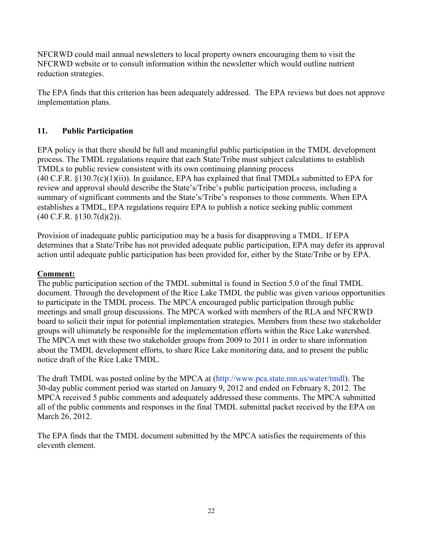NFCRWD could mail annual newsletters to local property owners encouraging them to visit the NFCRWD website or to consult information within the newsletter which would outline nutrient reduction strategies.

The EPA finds that this criterion has been adequately addressed. The EPA reviews but does not approve implementation plans.

## **11. Public Participation**

EPA policy is that there should be full and meaningful public participation in the TMDL development process. The TMDL regulations require that each State/Tribe must subject calculations to establish TMDLs to public review consistent with its own continuing planning process (40 C.F.R. §130.7(c)(1)(ii)). In guidance, EPA has explained that final TMDLs submitted to EPA for review and approval should describe the State's/Tribe's public participation process, including a summary of significant comments and the State's/Tribe's responses to those comments. When EPA establishes a TMDL, EPA regulations require EPA to publish a notice seeking public comment (40 C.F.R. §130.7(d)(2)).

Provision of inadequate public participation may be a basis for disapproving a TMDL. If EPA determines that a State/Tribe has not provided adequate public participation, EPA may defer its approval action until adequate public participation has been provided for, either by the State/Tribe or by EPA.

## **Comment:**

The public participation section of the TMDL submittal is found in Section 5.0 of the final TMDL document. Through the development of the Rice Lake TMDL the public was given various opportunities to participate in the TMDL process. The MPCA encouraged public participation through public meetings and small group discussions. The MPCA worked with members of the RLA and NFCRWD board to solicit their input for potential implementation strategies. Members from these two stakeholder groups will ultimately be responsible for the implementation efforts within the Rice Lake watershed. The MPCA met with these two stakeholder groups from 2009 to 2011 in order to share information about the TMDL development efforts, to share Rice Lake monitoring data, and to present the public notice draft of the Rice Lake TMDL.

The draft TMDL was posted online by the MPCA at (http://www.pca.state.mn.us/water/tmdl). The 30-day public comment period was started on January 9, 2012 and ended on February 8, 2012. The MPCA received 5 public comments and adequately addressed these comments. The MPCA submitted all of the public comments and responses in the final TMDL submittal packet received by the EPA on March 26, 2012.

The EPA finds that the TMDL document submitted by the MPCA satisfies the requirements of this eleventh element.